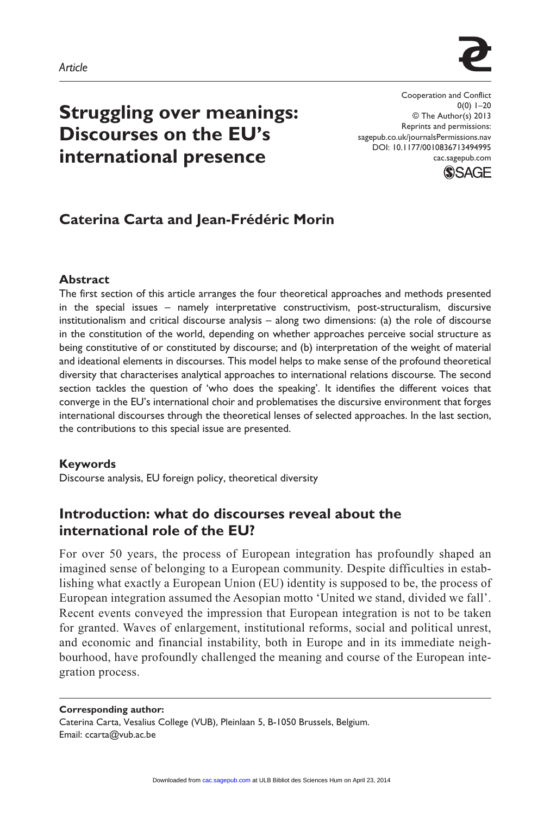

# **Struggling over meanings: Discourses on the EU's international presence**

Cooperation and Conflict 0(0) 1–20 © The Author(s) 2013 Reprints and permissions: sagepub.co.uk/journalsPermissions.nav DOI: 10.1177/0010836713494995 cac.sagepub.com



# **Caterina Carta and Jean-Frédéric Morin**

### **Abstract**

The first section of this article arranges the four theoretical approaches and methods presented in the special issues – namely interpretative constructivism, post-structuralism, discursive institutionalism and critical discourse analysis – along two dimensions: (a) the role of discourse in the constitution of the world, depending on whether approaches perceive social structure as being constitutive of or constituted by discourse; and (b) interpretation of the weight of material and ideational elements in discourses. This model helps to make sense of the profound theoretical diversity that characterises analytical approaches to international relations discourse. The second section tackles the question of 'who does the speaking'. It identifies the different voices that converge in the EU's international choir and problematises the discursive environment that forges international discourses through the theoretical lenses of selected approaches. In the last section, the contributions to this special issue are presented.

### **Keywords**

Discourse analysis, EU foreign policy, theoretical diversity

## **Introduction: what do discourses reveal about the international role of the EU?**

For over 50 years, the process of European integration has profoundly shaped an imagined sense of belonging to a European community. Despite difficulties in establishing what exactly a European Union (EU) identity is supposed to be, the process of European integration assumed the Aesopian motto 'United we stand, divided we fall'. Recent events conveyed the impression that European integration is not to be taken for granted. Waves of enlargement, institutional reforms, social and political unrest, and economic and financial instability, both in Europe and in its immediate neighbourhood, have profoundly challenged the meaning and course of the European integration process.

#### **Corresponding author:**

Caterina Carta, Vesalius College (VUB), Pleinlaan 5, B-1050 Brussels, Belgium. Email: ccarta@vub.ac.be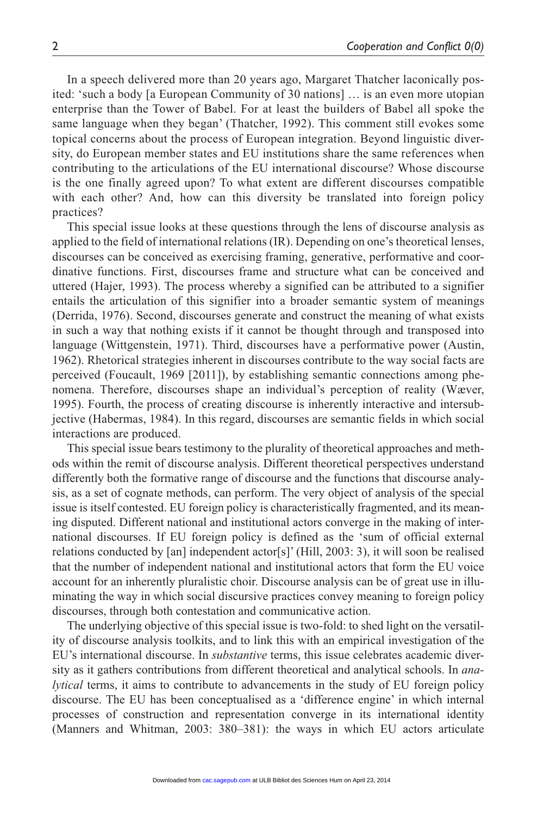In a speech delivered more than 20 years ago, Margaret Thatcher laconically posited: 'such a body [a European Community of 30 nations] … is an even more utopian enterprise than the Tower of Babel. For at least the builders of Babel all spoke the same language when they began' (Thatcher, 1992). This comment still evokes some topical concerns about the process of European integration. Beyond linguistic diversity, do European member states and EU institutions share the same references when contributing to the articulations of the EU international discourse? Whose discourse is the one finally agreed upon? To what extent are different discourses compatible with each other? And, how can this diversity be translated into foreign policy practices?

This special issue looks at these questions through the lens of discourse analysis as applied to the field of international relations (IR). Depending on one's theoretical lenses, discourses can be conceived as exercising framing, generative, performative and coordinative functions. First, discourses frame and structure what can be conceived and uttered (Hajer, 1993). The process whereby a signified can be attributed to a signifier entails the articulation of this signifier into a broader semantic system of meanings (Derrida, 1976). Second, discourses generate and construct the meaning of what exists in such a way that nothing exists if it cannot be thought through and transposed into language (Wittgenstein, 1971). Third, discourses have a performative power (Austin, 1962). Rhetorical strategies inherent in discourses contribute to the way social facts are perceived (Foucault, 1969 [2011]), by establishing semantic connections among phenomena. Therefore, discourses shape an individual's perception of reality (Wæver, 1995). Fourth, the process of creating discourse is inherently interactive and intersubjective (Habermas, 1984). In this regard, discourses are semantic fields in which social interactions are produced.

This special issue bears testimony to the plurality of theoretical approaches and methods within the remit of discourse analysis. Different theoretical perspectives understand differently both the formative range of discourse and the functions that discourse analysis, as a set of cognate methods, can perform. The very object of analysis of the special issue is itself contested. EU foreign policy is characteristically fragmented, and its meaning disputed. Different national and institutional actors converge in the making of international discourses. If EU foreign policy is defined as the 'sum of official external relations conducted by [an] independent actor[s]' (Hill, 2003: 3), it will soon be realised that the number of independent national and institutional actors that form the EU voice account for an inherently pluralistic choir. Discourse analysis can be of great use in illuminating the way in which social discursive practices convey meaning to foreign policy discourses, through both contestation and communicative action.

The underlying objective of this special issue is two-fold: to shed light on the versatility of discourse analysis toolkits, and to link this with an empirical investigation of the EU's international discourse. In *substantive* terms, this issue celebrates academic diversity as it gathers contributions from different theoretical and analytical schools. In *analytical* terms, it aims to contribute to advancements in the study of EU foreign policy discourse. The EU has been conceptualised as a 'difference engine' in which internal processes of construction and representation converge in its international identity (Manners and Whitman, 2003: 380–381): the ways in which EU actors articulate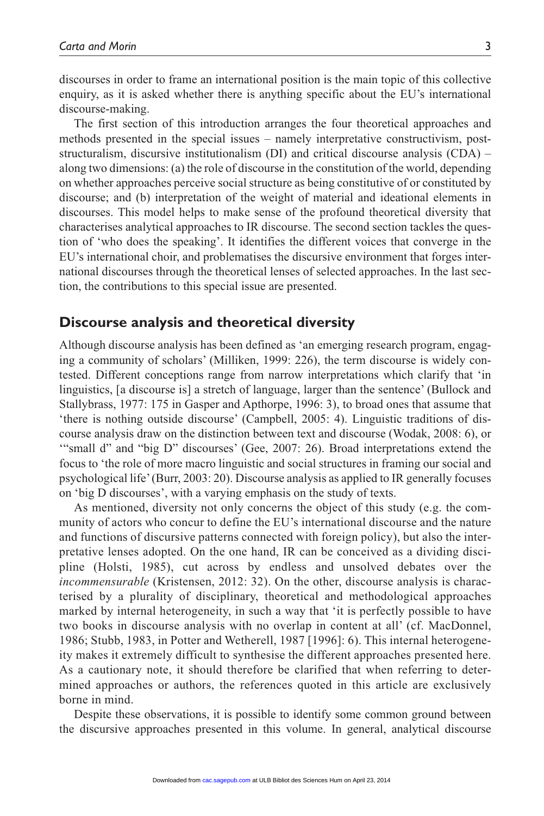The first section of this introduction arranges the four theoretical approaches and methods presented in the special issues – namely interpretative constructivism, poststructuralism, discursive institutionalism (DI) and critical discourse analysis (CDA) – along two dimensions: (a) the role of discourse in the constitution of the world, depending on whether approaches perceive social structure as being constitutive of or constituted by discourse; and (b) interpretation of the weight of material and ideational elements in discourses. This model helps to make sense of the profound theoretical diversity that characterises analytical approaches to IR discourse. The second section tackles the question of 'who does the speaking'. It identifies the different voices that converge in the EU's international choir, and problematises the discursive environment that forges international discourses through the theoretical lenses of selected approaches. In the last section, the contributions to this special issue are presented.

### **Discourse analysis and theoretical diversity**

Although discourse analysis has been defined as 'an emerging research program, engaging a community of scholars' (Milliken, 1999: 226), the term discourse is widely contested. Different conceptions range from narrow interpretations which clarify that 'in linguistics, [a discourse is] a stretch of language, larger than the sentence' (Bullock and Stallybrass, 1977: 175 in Gasper and Apthorpe, 1996: 3), to broad ones that assume that 'there is nothing outside discourse' (Campbell, 2005: 4). Linguistic traditions of discourse analysis draw on the distinction between text and discourse (Wodak, 2008: 6), or '"small d" and "big D" discourses' (Gee, 2007: 26). Broad interpretations extend the focus to 'the role of more macro linguistic and social structures in framing our social and psychological life' (Burr, 2003: 20). Discourse analysis as applied to IR generally focuses on 'big D discourses', with a varying emphasis on the study of texts.

As mentioned, diversity not only concerns the object of this study (e.g. the community of actors who concur to define the EU's international discourse and the nature and functions of discursive patterns connected with foreign policy), but also the interpretative lenses adopted. On the one hand, IR can be conceived as a dividing discipline (Holsti, 1985), cut across by endless and unsolved debates over the *incommensurable* (Kristensen, 2012: 32). On the other, discourse analysis is characterised by a plurality of disciplinary, theoretical and methodological approaches marked by internal heterogeneity, in such a way that 'it is perfectly possible to have two books in discourse analysis with no overlap in content at all' (cf. MacDonnel, 1986; Stubb, 1983, in Potter and Wetherell, 1987 [1996]: 6). This internal heterogeneity makes it extremely difficult to synthesise the different approaches presented here. As a cautionary note, it should therefore be clarified that when referring to determined approaches or authors, the references quoted in this article are exclusively borne in mind.

Despite these observations, it is possible to identify some common ground between the discursive approaches presented in this volume. In general, analytical discourse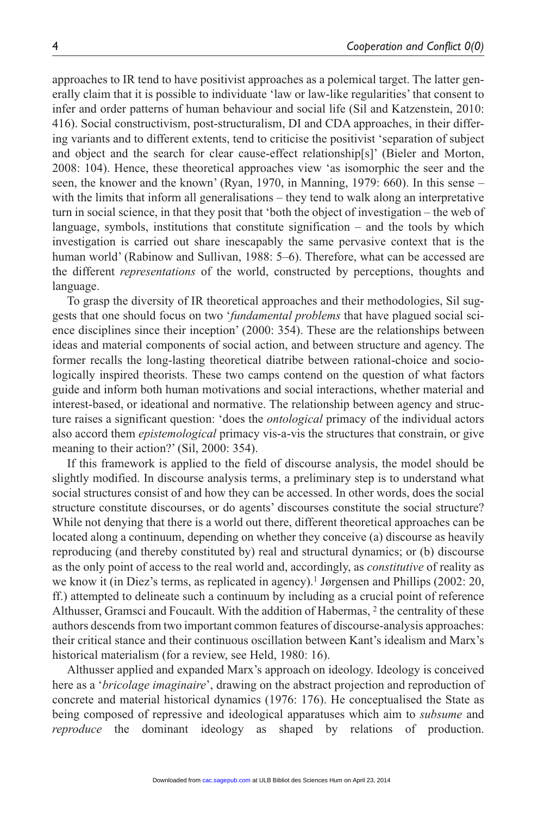approaches to IR tend to have positivist approaches as a polemical target. The latter generally claim that it is possible to individuate 'law or law-like regularities' that consent to infer and order patterns of human behaviour and social life (Sil and Katzenstein, 2010: 416). Social constructivism, post-structuralism, DI and CDA approaches, in their differing variants and to different extents, tend to criticise the positivist 'separation of subject and object and the search for clear cause-effect relationship[s]' (Bieler and Morton, 2008: 104). Hence, these theoretical approaches view 'as isomorphic the seer and the seen, the knower and the known' (Ryan, 1970, in Manning, 1979: 660). In this sense – with the limits that inform all generalisations – they tend to walk along an interpretative turn in social science, in that they posit that 'both the object of investigation – the web of language, symbols, institutions that constitute signification – and the tools by which investigation is carried out share inescapably the same pervasive context that is the human world' (Rabinow and Sullivan, 1988: 5–6). Therefore, what can be accessed are the different *representations* of the world, constructed by perceptions, thoughts and language.

To grasp the diversity of IR theoretical approaches and their methodologies, Sil suggests that one should focus on two '*fundamental problems* that have plagued social science disciplines since their inception' (2000: 354). These are the relationships between ideas and material components of social action, and between structure and agency. The former recalls the long-lasting theoretical diatribe between rational-choice and sociologically inspired theorists. These two camps contend on the question of what factors guide and inform both human motivations and social interactions, whether material and interest-based, or ideational and normative. The relationship between agency and structure raises a significant question: 'does the *ontological* primacy of the individual actors also accord them *epistemological* primacy vis-a-vis the structures that constrain, or give meaning to their action?' (Sil, 2000: 354).

If this framework is applied to the field of discourse analysis, the model should be slightly modified. In discourse analysis terms, a preliminary step is to understand what social structures consist of and how they can be accessed. In other words, does the social structure constitute discourses, or do agents' discourses constitute the social structure? While not denying that there is a world out there, different theoretical approaches can be located along a continuum, depending on whether they conceive (a) discourse as heavily reproducing (and thereby constituted by) real and structural dynamics; or (b) discourse as the only point of access to the real world and, accordingly, as *constitutive* of reality as we know it (in Diez's terms, as replicated in agency).<sup>1</sup> Jørgensen and Phillips (2002: 20, ff.) attempted to delineate such a continuum by including as a crucial point of reference Althusser, Gramsci and Foucault. With the addition of Habermas, 2 the centrality of these authors descends from two important common features of discourse-analysis approaches: their critical stance and their continuous oscillation between Kant's idealism and Marx's historical materialism (for a review, see Held, 1980: 16).

Althusser applied and expanded Marx's approach on ideology. Ideology is conceived here as a '*bricolage imaginaire*', drawing on the abstract projection and reproduction of concrete and material historical dynamics (1976: 176). He conceptualised the State as being composed of repressive and ideological apparatuses which aim to *subsume* and *reproduce* the dominant ideology as shaped by relations of production.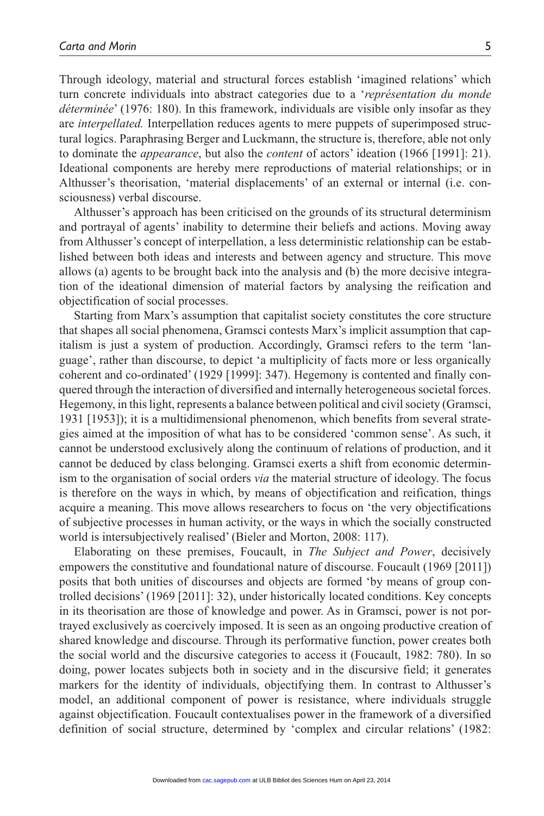Through ideology, material and structural forces establish 'imagined relations' which turn concrete individuals into abstract categories due to a '*représentation du monde déterminée*' (1976: 180). In this framework, individuals are visible only insofar as they are *interpellated.* Interpellation reduces agents to mere puppets of superimposed structural logics. Paraphrasing Berger and Luckmann, the structure is, therefore, able not only to dominate the *appearance*, but also the *content* of actors' ideation (1966 [1991]: 21). Ideational components are hereby mere reproductions of material relationships; or in Althusser's theorisation, 'material displacements' of an external or internal (i.e. consciousness) verbal discourse.

Althusser's approach has been criticised on the grounds of its structural determinism and portrayal of agents' inability to determine their beliefs and actions. Moving away from Althusser's concept of interpellation, a less deterministic relationship can be established between both ideas and interests and between agency and structure. This move allows (a) agents to be brought back into the analysis and (b) the more decisive integration of the ideational dimension of material factors by analysing the reification and objectification of social processes.

Starting from Marx's assumption that capitalist society constitutes the core structure that shapes all social phenomena, Gramsci contests Marx's implicit assumption that capitalism is just a system of production. Accordingly, Gramsci refers to the term 'language', rather than discourse, to depict 'a multiplicity of facts more or less organically coherent and co-ordinated' (1929 [1999]: 347). Hegemony is contented and finally conquered through the interaction of diversified and internally heterogeneous societal forces. Hegemony, in this light, represents a balance between political and civil society (Gramsci, 1931 [1953]); it is a multidimensional phenomenon, which benefits from several strategies aimed at the imposition of what has to be considered 'common sense'. As such, it cannot be understood exclusively along the continuum of relations of production, and it cannot be deduced by class belonging. Gramsci exerts a shift from economic determinism to the organisation of social orders *via* the material structure of ideology. The focus is therefore on the ways in which, by means of objectification and reification, things acquire a meaning. This move allows researchers to focus on 'the very objectifications of subjective processes in human activity, or the ways in which the socially constructed world is intersubjectively realised' (Bieler and Morton, 2008: 117).

Elaborating on these premises, Foucault, in *The Subject and Power*, decisively empowers the constitutive and foundational nature of discourse. Foucault (1969 [2011]) posits that both unities of discourses and objects are formed 'by means of group controlled decisions' (1969 [2011]: 32), under historically located conditions. Key concepts in its theorisation are those of knowledge and power. As in Gramsci, power is not portrayed exclusively as coercively imposed. It is seen as an ongoing productive creation of shared knowledge and discourse. Through its performative function, power creates both the social world and the discursive categories to access it (Foucault, 1982: 780). In so doing, power locates subjects both in society and in the discursive field; it generates markers for the identity of individuals, objectifying them. In contrast to Althusser's model, an additional component of power is resistance, where individuals struggle against objectification. Foucault contextualises power in the framework of a diversified definition of social structure, determined by 'complex and circular relations' (1982: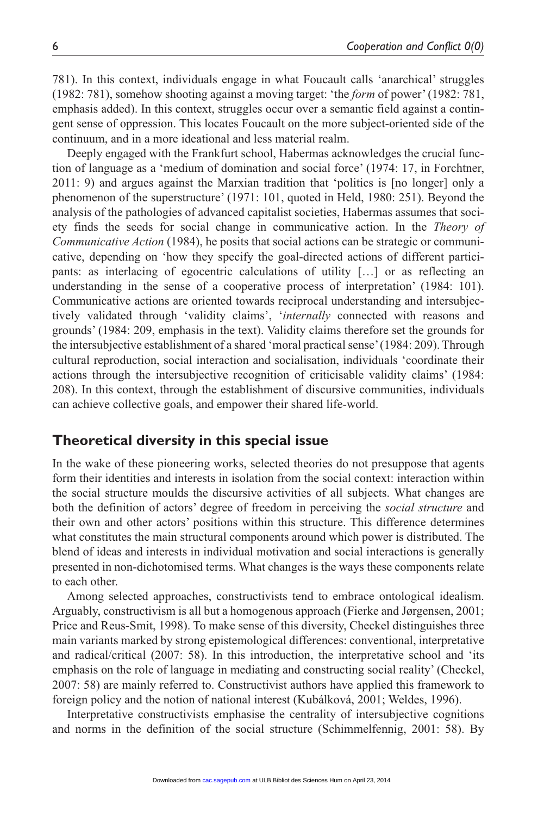781). In this context, individuals engage in what Foucault calls 'anarchical' struggles (1982: 781), somehow shooting against a moving target: 'the *form* of power' (1982: 781, emphasis added). In this context, struggles occur over a semantic field against a contingent sense of oppression. This locates Foucault on the more subject-oriented side of the continuum, and in a more ideational and less material realm.

Deeply engaged with the Frankfurt school, Habermas acknowledges the crucial function of language as a 'medium of domination and social force' (1974: 17, in Forchtner, 2011: 9) and argues against the Marxian tradition that 'politics is [no longer] only a phenomenon of the superstructure' (1971: 101, quoted in Held, 1980: 251). Beyond the analysis of the pathologies of advanced capitalist societies, Habermas assumes that society finds the seeds for social change in communicative action. In the *Theory of Communicative Action* (1984), he posits that social actions can be strategic or communicative, depending on 'how they specify the goal-directed actions of different participants: as interlacing of egocentric calculations of utility […] or as reflecting an understanding in the sense of a cooperative process of interpretation' (1984: 101). Communicative actions are oriented towards reciprocal understanding and intersubjectively validated through 'validity claims', '*internally* connected with reasons and grounds' (1984: 209, emphasis in the text). Validity claims therefore set the grounds for the intersubjective establishment of a shared 'moral practical sense' (1984: 209). Through cultural reproduction, social interaction and socialisation, individuals 'coordinate their actions through the intersubjective recognition of criticisable validity claims' (1984: 208). In this context, through the establishment of discursive communities, individuals can achieve collective goals, and empower their shared life-world.

### **Theoretical diversity in this special issue**

In the wake of these pioneering works, selected theories do not presuppose that agents form their identities and interests in isolation from the social context: interaction within the social structure moulds the discursive activities of all subjects. What changes are both the definition of actors' degree of freedom in perceiving the *social structure* and their own and other actors' positions within this structure. This difference determines what constitutes the main structural components around which power is distributed. The blend of ideas and interests in individual motivation and social interactions is generally presented in non-dichotomised terms. What changes is the ways these components relate to each other.

Among selected approaches, constructivists tend to embrace ontological idealism. Arguably, constructivism is all but a homogenous approach (Fierke and Jørgensen, 2001; Price and Reus-Smit, 1998). To make sense of this diversity, Checkel distinguishes three main variants marked by strong epistemological differences: conventional, interpretative and radical/critical (2007: 58). In this introduction, the interpretative school and 'its emphasis on the role of language in mediating and constructing social reality' (Checkel, 2007: 58) are mainly referred to. Constructivist authors have applied this framework to foreign policy and the notion of national interest (Kubálková, 2001; Weldes, 1996).

Interpretative constructivists emphasise the centrality of intersubjective cognitions and norms in the definition of the social structure (Schimmelfennig, 2001: 58). By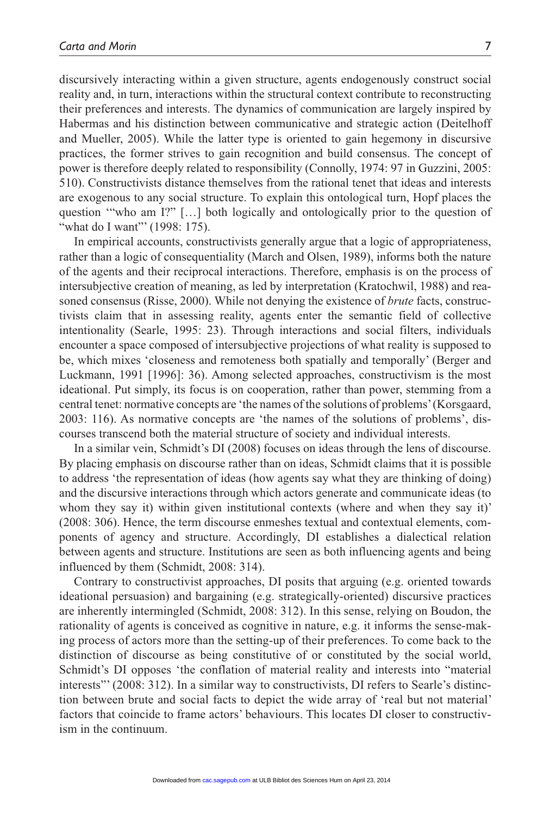discursively interacting within a given structure, agents endogenously construct social reality and, in turn, interactions within the structural context contribute to reconstructing their preferences and interests. The dynamics of communication are largely inspired by Habermas and his distinction between communicative and strategic action (Deitelhoff and Mueller, 2005). While the latter type is oriented to gain hegemony in discursive practices, the former strives to gain recognition and build consensus. The concept of power is therefore deeply related to responsibility (Connolly, 1974: 97 in Guzzini, 2005: 510). Constructivists distance themselves from the rational tenet that ideas and interests are exogenous to any social structure. To explain this ontological turn, Hopf places the question '"who am I?" […] both logically and ontologically prior to the question of "what do I want"' (1998: 175).

In empirical accounts, constructivists generally argue that a logic of appropriateness, rather than a logic of consequentiality (March and Olsen, 1989), informs both the nature of the agents and their reciprocal interactions. Therefore, emphasis is on the process of intersubjective creation of meaning, as led by interpretation (Kratochwil, 1988) and reasoned consensus (Risse, 2000). While not denying the existence of *brute* facts, constructivists claim that in assessing reality, agents enter the semantic field of collective intentionality (Searle, 1995: 23). Through interactions and social filters, individuals encounter a space composed of intersubjective projections of what reality is supposed to be, which mixes 'closeness and remoteness both spatially and temporally' (Berger and Luckmann, 1991 [1996]: 36). Among selected approaches, constructivism is the most ideational. Put simply, its focus is on cooperation, rather than power, stemming from a central tenet: normative concepts are 'the names of the solutions of problems' (Korsgaard, 2003: 116). As normative concepts are 'the names of the solutions of problems', discourses transcend both the material structure of society and individual interests.

In a similar vein, Schmidt's DI (2008) focuses on ideas through the lens of discourse. By placing emphasis on discourse rather than on ideas, Schmidt claims that it is possible to address 'the representation of ideas (how agents say what they are thinking of doing) and the discursive interactions through which actors generate and communicate ideas (to whom they say it) within given institutional contexts (where and when they say it)' (2008: 306). Hence, the term discourse enmeshes textual and contextual elements, components of agency and structure. Accordingly, DI establishes a dialectical relation between agents and structure. Institutions are seen as both influencing agents and being influenced by them (Schmidt, 2008: 314).

Contrary to constructivist approaches, DI posits that arguing (e.g. oriented towards ideational persuasion) and bargaining (e.g. strategically-oriented) discursive practices are inherently intermingled (Schmidt, 2008: 312). In this sense, relying on Boudon, the rationality of agents is conceived as cognitive in nature, e.g. it informs the sense-making process of actors more than the setting-up of their preferences. To come back to the distinction of discourse as being constitutive of or constituted by the social world, Schmidt's DI opposes 'the conflation of material reality and interests into "material interests" (2008: 312). In a similar way to constructivists, DI refers to Searle's distinction between brute and social facts to depict the wide array of 'real but not material' factors that coincide to frame actors' behaviours. This locates DI closer to constructivism in the continuum.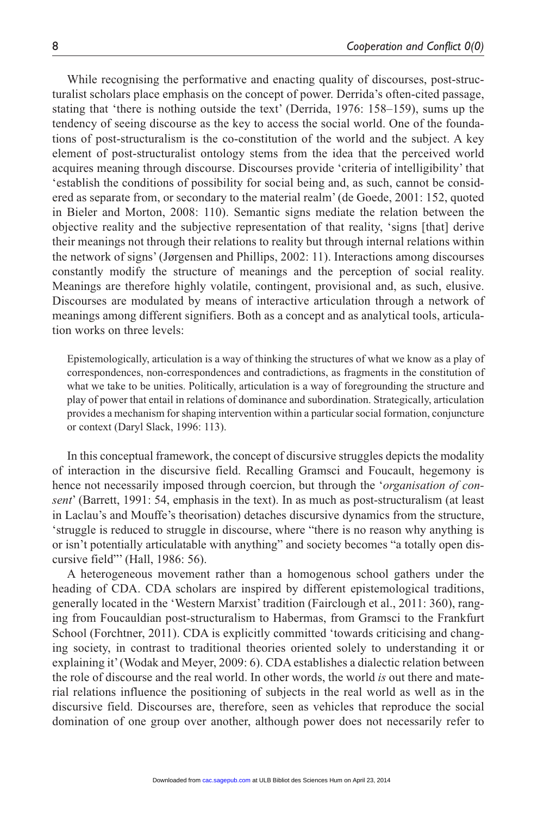While recognising the performative and enacting quality of discourses, post-structuralist scholars place emphasis on the concept of power. Derrida's often-cited passage, stating that 'there is nothing outside the text' (Derrida, 1976: 158–159), sums up the tendency of seeing discourse as the key to access the social world. One of the foundations of post-structuralism is the co-constitution of the world and the subject. A key element of post-structuralist ontology stems from the idea that the perceived world acquires meaning through discourse. Discourses provide 'criteria of intelligibility' that 'establish the conditions of possibility for social being and, as such, cannot be considered as separate from, or secondary to the material realm' (de Goede, 2001: 152, quoted in Bieler and Morton, 2008: 110). Semantic signs mediate the relation between the objective reality and the subjective representation of that reality, 'signs [that] derive their meanings not through their relations to reality but through internal relations within the network of signs' (Jørgensen and Phillips, 2002: 11). Interactions among discourses constantly modify the structure of meanings and the perception of social reality. Meanings are therefore highly volatile, contingent, provisional and, as such, elusive. Discourses are modulated by means of interactive articulation through a network of meanings among different signifiers. Both as a concept and as analytical tools, articulation works on three levels:

Epistemologically, articulation is a way of thinking the structures of what we know as a play of correspondences, non-correspondences and contradictions, as fragments in the constitution of what we take to be unities. Politically, articulation is a way of foregrounding the structure and play of power that entail in relations of dominance and subordination. Strategically, articulation provides a mechanism for shaping intervention within a particular social formation, conjuncture or context (Daryl Slack, 1996: 113).

In this conceptual framework, the concept of discursive struggles depicts the modality of interaction in the discursive field. Recalling Gramsci and Foucault, hegemony is hence not necessarily imposed through coercion, but through the '*organisation of consent*' (Barrett, 1991: 54, emphasis in the text). In as much as post-structuralism (at least in Laclau's and Mouffe's theorisation) detaches discursive dynamics from the structure, 'struggle is reduced to struggle in discourse, where "there is no reason why anything is or isn't potentially articulatable with anything" and society becomes "a totally open discursive field"' (Hall, 1986: 56).

A heterogeneous movement rather than a homogenous school gathers under the heading of CDA. CDA scholars are inspired by different epistemological traditions, generally located in the 'Western Marxist' tradition (Fairclough et al., 2011: 360), ranging from Foucauldian post-structuralism to Habermas, from Gramsci to the Frankfurt School (Forchtner, 2011). CDA is explicitly committed 'towards criticising and changing society, in contrast to traditional theories oriented solely to understanding it or explaining it' (Wodak and Meyer, 2009: 6). CDA establishes a dialectic relation between the role of discourse and the real world. In other words, the world *is* out there and material relations influence the positioning of subjects in the real world as well as in the discursive field. Discourses are, therefore, seen as vehicles that reproduce the social domination of one group over another, although power does not necessarily refer to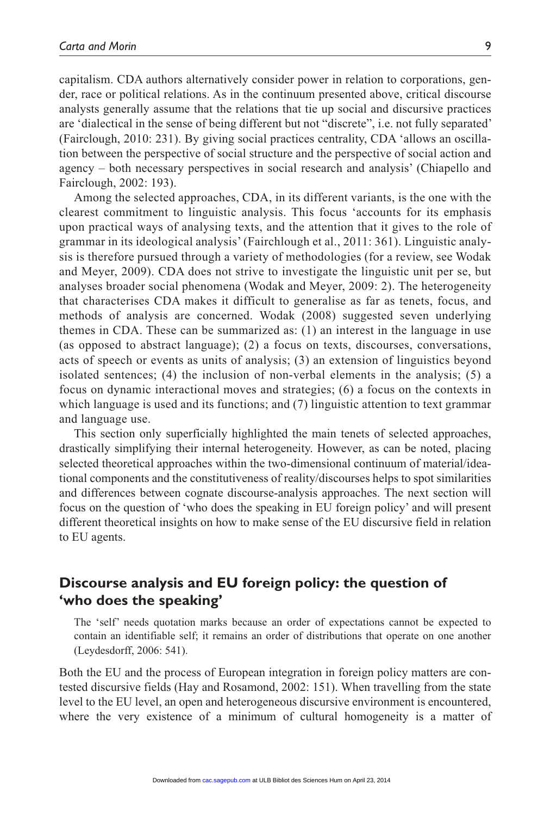capitalism. CDA authors alternatively consider power in relation to corporations, gender, race or political relations. As in the continuum presented above, critical discourse analysts generally assume that the relations that tie up social and discursive practices are 'dialectical in the sense of being different but not "discrete", i.e. not fully separated' (Fairclough, 2010: 231). By giving social practices centrality, CDA 'allows an oscillation between the perspective of social structure and the perspective of social action and agency – both necessary perspectives in social research and analysis' (Chiapello and Fairclough, 2002: 193).

Among the selected approaches, CDA, in its different variants, is the one with the clearest commitment to linguistic analysis. This focus 'accounts for its emphasis upon practical ways of analysing texts, and the attention that it gives to the role of grammar in its ideological analysis' (Fairchlough et al., 2011: 361). Linguistic analysis is therefore pursued through a variety of methodologies (for a review, see Wodak and Meyer, 2009). CDA does not strive to investigate the linguistic unit per se, but analyses broader social phenomena (Wodak and Meyer, 2009: 2). The heterogeneity that characterises CDA makes it difficult to generalise as far as tenets, focus, and methods of analysis are concerned. Wodak (2008) suggested seven underlying themes in CDA. These can be summarized as: (1) an interest in the language in use (as opposed to abstract language); (2) a focus on texts, discourses, conversations, acts of speech or events as units of analysis; (3) an extension of linguistics beyond isolated sentences; (4) the inclusion of non-verbal elements in the analysis; (5) a focus on dynamic interactional moves and strategies; (6) a focus on the contexts in which language is used and its functions; and (7) linguistic attention to text grammar and language use.

This section only superficially highlighted the main tenets of selected approaches, drastically simplifying their internal heterogeneity. However, as can be noted, placing selected theoretical approaches within the two-dimensional continuum of material/ideational components and the constitutiveness of reality/discourses helps to spot similarities and differences between cognate discourse-analysis approaches. The next section will focus on the question of 'who does the speaking in EU foreign policy' and will present different theoretical insights on how to make sense of the EU discursive field in relation to EU agents.

### **Discourse analysis and EU foreign policy: the question of 'who does the speaking'**

The 'self' needs quotation marks because an order of expectations cannot be expected to contain an identifiable self; it remains an order of distributions that operate on one another (Leydesdorff, 2006: 541).

Both the EU and the process of European integration in foreign policy matters are contested discursive fields (Hay and Rosamond, 2002: 151). When travelling from the state level to the EU level, an open and heterogeneous discursive environment is encountered, where the very existence of a minimum of cultural homogeneity is a matter of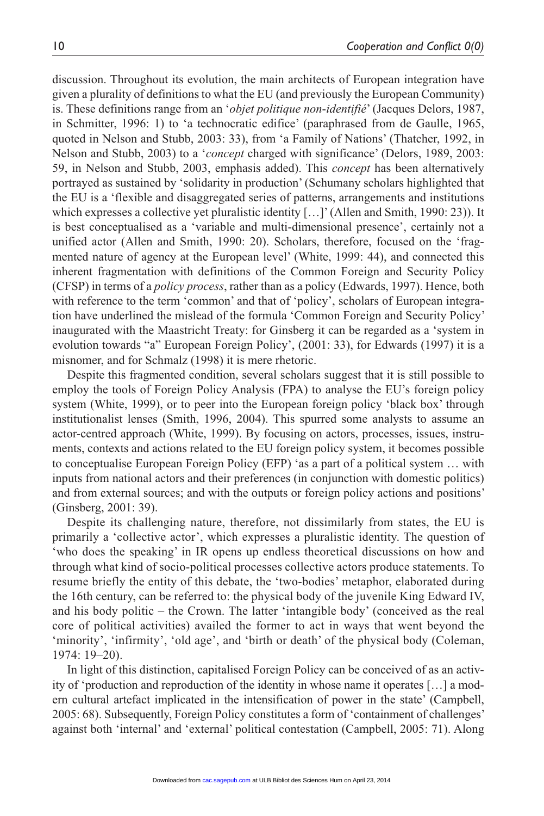discussion. Throughout its evolution, the main architects of European integration have given a plurality of definitions to what the EU (and previously the European Community) is. These definitions range from an '*objet politique non*-*identifié*' (Jacques Delors, 1987, in Schmitter, 1996: 1) to 'a technocratic edifice' (paraphrased from de Gaulle, 1965, quoted in Nelson and Stubb, 2003: 33), from 'a Family of Nations' (Thatcher, 1992, in Nelson and Stubb, 2003) to a '*concept* charged with significance' (Delors, 1989, 2003: 59, in Nelson and Stubb, 2003, emphasis added). This *concept* has been alternatively portrayed as sustained by 'solidarity in production' (Schumany scholars highlighted that the EU is a 'flexible and disaggregated series of patterns, arrangements and institutions which expresses a collective yet pluralistic identity […]' (Allen and Smith, 1990: 23)). It is best conceptualised as a 'variable and multi-dimensional presence', certainly not a unified actor (Allen and Smith, 1990: 20). Scholars, therefore, focused on the 'fragmented nature of agency at the European level' (White, 1999: 44), and connected this inherent fragmentation with definitions of the Common Foreign and Security Policy (CFSP) in terms of a *policy process*, rather than as a policy (Edwards, 1997). Hence, both with reference to the term 'common' and that of 'policy', scholars of European integration have underlined the mislead of the formula 'Common Foreign and Security Policy' inaugurated with the Maastricht Treaty: for Ginsberg it can be regarded as a 'system in evolution towards "a" European Foreign Policy', (2001: 33), for Edwards (1997) it is a misnomer, and for Schmalz (1998) it is mere rhetoric.

Despite this fragmented condition, several scholars suggest that it is still possible to employ the tools of Foreign Policy Analysis (FPA) to analyse the EU's foreign policy system (White, 1999), or to peer into the European foreign policy 'black box' through institutionalist lenses (Smith, 1996, 2004). This spurred some analysts to assume an actor-centred approach (White, 1999). By focusing on actors, processes, issues, instruments, contexts and actions related to the EU foreign policy system, it becomes possible to conceptualise European Foreign Policy (EFP) 'as a part of a political system … with inputs from national actors and their preferences (in conjunction with domestic politics) and from external sources; and with the outputs or foreign policy actions and positions' (Ginsberg, 2001: 39).

Despite its challenging nature, therefore, not dissimilarly from states, the EU is primarily a 'collective actor', which expresses a pluralistic identity. The question of 'who does the speaking' in IR opens up endless theoretical discussions on how and through what kind of socio-political processes collective actors produce statements. To resume briefly the entity of this debate, the 'two-bodies' metaphor, elaborated during the 16th century, can be referred to: the physical body of the juvenile King Edward IV, and his body politic – the Crown. The latter 'intangible body' (conceived as the real core of political activities) availed the former to act in ways that went beyond the 'minority', 'infirmity', 'old age', and 'birth or death' of the physical body (Coleman, 1974: 19–20).

In light of this distinction, capitalised Foreign Policy can be conceived of as an activity of 'production and reproduction of the identity in whose name it operates […] a modern cultural artefact implicated in the intensification of power in the state' (Campbell, 2005: 68). Subsequently, Foreign Policy constitutes a form of 'containment of challenges' against both 'internal' and 'external' political contestation (Campbell, 2005: 71). Along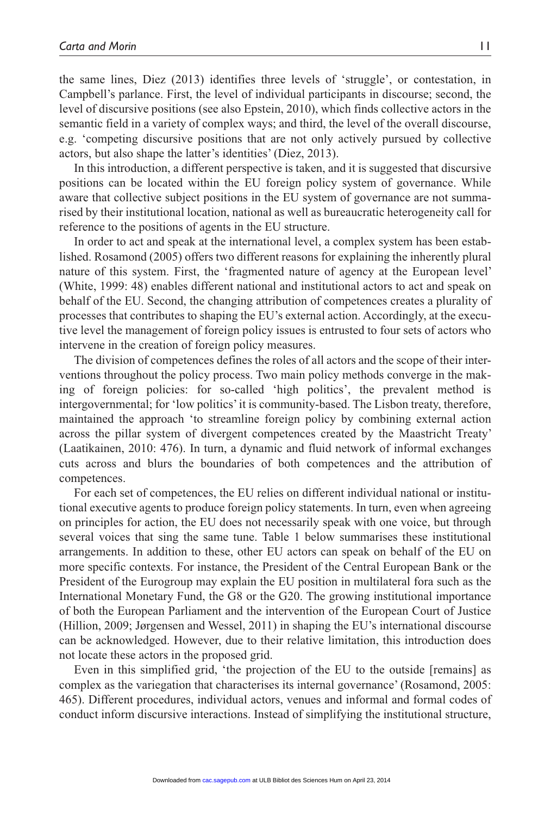the same lines, Diez (2013) identifies three levels of 'struggle', or contestation, in Campbell's parlance. First, the level of individual participants in discourse; second, the level of discursive positions (see also Epstein, 2010), which finds collective actors in the semantic field in a variety of complex ways; and third, the level of the overall discourse, e.g. 'competing discursive positions that are not only actively pursued by collective actors, but also shape the latter's identities' (Diez, 2013).

In this introduction, a different perspective is taken, and it is suggested that discursive positions can be located within the EU foreign policy system of governance. While aware that collective subject positions in the EU system of governance are not summarised by their institutional location, national as well as bureaucratic heterogeneity call for reference to the positions of agents in the EU structure.

In order to act and speak at the international level, a complex system has been established. Rosamond (2005) offers two different reasons for explaining the inherently plural nature of this system. First, the 'fragmented nature of agency at the European level' (White, 1999: 48) enables different national and institutional actors to act and speak on behalf of the EU. Second, the changing attribution of competences creates a plurality of processes that contributes to shaping the EU's external action. Accordingly, at the executive level the management of foreign policy issues is entrusted to four sets of actors who intervene in the creation of foreign policy measures.

The division of competences defines the roles of all actors and the scope of their interventions throughout the policy process. Two main policy methods converge in the making of foreign policies: for so-called 'high politics', the prevalent method is intergovernmental; for 'low politics' it is community-based. The Lisbon treaty, therefore, maintained the approach 'to streamline foreign policy by combining external action across the pillar system of divergent competences created by the Maastricht Treaty' (Laatikainen, 2010: 476). In turn, a dynamic and fluid network of informal exchanges cuts across and blurs the boundaries of both competences and the attribution of competences.

For each set of competences, the EU relies on different individual national or institutional executive agents to produce foreign policy statements. In turn, even when agreeing on principles for action, the EU does not necessarily speak with one voice, but through several voices that sing the same tune. Table 1 below summarises these institutional arrangements. In addition to these, other EU actors can speak on behalf of the EU on more specific contexts. For instance, the President of the Central European Bank or the President of the Eurogroup may explain the EU position in multilateral fora such as the International Monetary Fund, the G8 or the G20. The growing institutional importance of both the European Parliament and the intervention of the European Court of Justice (Hillion, 2009; Jørgensen and Wessel, 2011) in shaping the EU's international discourse can be acknowledged. However, due to their relative limitation, this introduction does not locate these actors in the proposed grid.

Even in this simplified grid, 'the projection of the EU to the outside [remains] as complex as the variegation that characterises its internal governance' (Rosamond, 2005: 465). Different procedures, individual actors, venues and informal and formal codes of conduct inform discursive interactions. Instead of simplifying the institutional structure,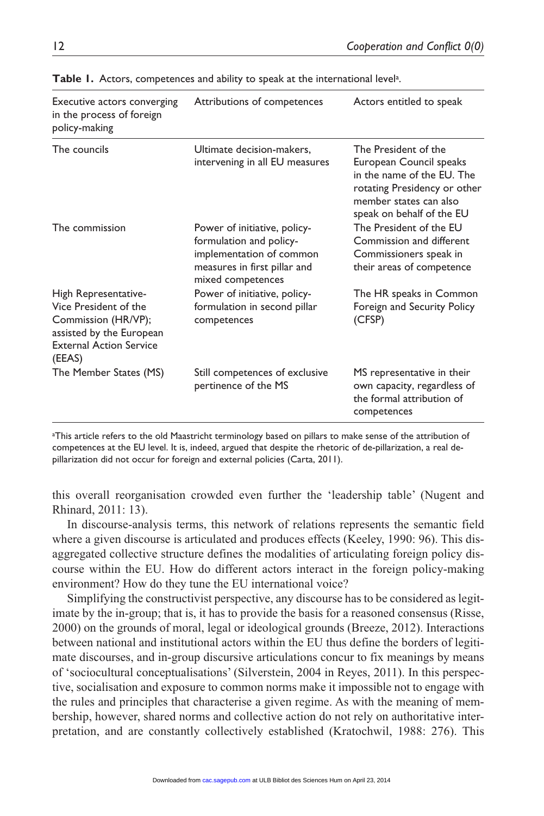| Executive actors converging<br>in the process of foreign<br>policy-making                                                                    | Attributions of competences                                                                                                              | Actors entitled to speak                                                                                                                                             |
|----------------------------------------------------------------------------------------------------------------------------------------------|------------------------------------------------------------------------------------------------------------------------------------------|----------------------------------------------------------------------------------------------------------------------------------------------------------------------|
| The councils                                                                                                                                 | Ultimate decision-makers.<br>intervening in all EU measures                                                                              | The President of the<br>European Council speaks<br>in the name of the EU. The<br>rotating Presidency or other<br>member states can also<br>speak on behalf of the EU |
| The commission                                                                                                                               | Power of initiative, policy-<br>formulation and policy-<br>implementation of common<br>measures in first pillar and<br>mixed competences | The President of the EU<br>Commission and different<br>Commissioners speak in<br>their areas of competence                                                           |
| High Representative-<br>Vice President of the<br>Commission (HR/VP);<br>assisted by the European<br><b>External Action Service</b><br>(EEAS) | Power of initiative, policy-<br>formulation in second pillar<br>competences                                                              | The HR speaks in Common<br>Foreign and Security Policy<br>(CFSP)                                                                                                     |
| The Member States (MS)                                                                                                                       | Still competences of exclusive<br>pertinence of the MS                                                                                   | MS representative in their<br>own capacity, regardless of<br>the formal attribution of<br>competences                                                                |

**Table 1.** Actors, competences and ability to speak at the international level<sup>a</sup>.

a This article refers to the old Maastricht terminology based on pillars to make sense of the attribution of competences at the EU level. It is, indeed, argued that despite the rhetoric of de-pillarization, a real depillarization did not occur for foreign and external policies (Carta, 2011).

this overall reorganisation crowded even further the 'leadership table' (Nugent and Rhinard, 2011: 13).

In discourse-analysis terms, this network of relations represents the semantic field where a given discourse is articulated and produces effects (Keeley, 1990: 96). This disaggregated collective structure defines the modalities of articulating foreign policy discourse within the EU. How do different actors interact in the foreign policy-making environment? How do they tune the EU international voice?

Simplifying the constructivist perspective, any discourse has to be considered as legitimate by the in-group; that is, it has to provide the basis for a reasoned consensus (Risse, 2000) on the grounds of moral, legal or ideological grounds (Breeze, 2012). Interactions between national and institutional actors within the EU thus define the borders of legitimate discourses, and in-group discursive articulations concur to fix meanings by means of 'sociocultural conceptualisations' (Silverstein, 2004 in Reyes, 2011). In this perspective, socialisation and exposure to common norms make it impossible not to engage with the rules and principles that characterise a given regime. As with the meaning of membership, however, shared norms and collective action do not rely on authoritative interpretation, and are constantly collectively established (Kratochwil, 1988: 276). This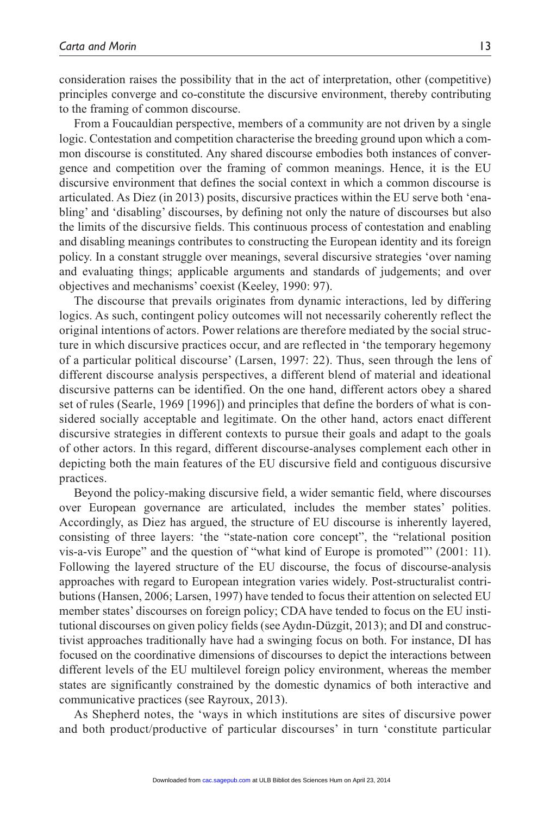consideration raises the possibility that in the act of interpretation, other (competitive) principles converge and co-constitute the discursive environment, thereby contributing to the framing of common discourse.

From a Foucauldian perspective, members of a community are not driven by a single logic. Contestation and competition characterise the breeding ground upon which a common discourse is constituted. Any shared discourse embodies both instances of convergence and competition over the framing of common meanings. Hence, it is the EU discursive environment that defines the social context in which a common discourse is articulated. As Diez (in 2013) posits, discursive practices within the EU serve both 'enabling' and 'disabling' discourses, by defining not only the nature of discourses but also the limits of the discursive fields. This continuous process of contestation and enabling and disabling meanings contributes to constructing the European identity and its foreign policy. In a constant struggle over meanings, several discursive strategies 'over naming and evaluating things; applicable arguments and standards of judgements; and over objectives and mechanisms' coexist (Keeley, 1990: 97).

The discourse that prevails originates from dynamic interactions, led by differing logics. As such, contingent policy outcomes will not necessarily coherently reflect the original intentions of actors. Power relations are therefore mediated by the social structure in which discursive practices occur, and are reflected in 'the temporary hegemony of a particular political discourse' (Larsen, 1997: 22). Thus, seen through the lens of different discourse analysis perspectives, a different blend of material and ideational discursive patterns can be identified. On the one hand, different actors obey a shared set of rules (Searle, 1969 [1996]) and principles that define the borders of what is considered socially acceptable and legitimate. On the other hand, actors enact different discursive strategies in different contexts to pursue their goals and adapt to the goals of other actors. In this regard, different discourse-analyses complement each other in depicting both the main features of the EU discursive field and contiguous discursive practices.

Beyond the policy-making discursive field, a wider semantic field, where discourses over European governance are articulated, includes the member states' polities. Accordingly, as Diez has argued, the structure of EU discourse is inherently layered, consisting of three layers: 'the "state-nation core concept", the "relational position vis-a-vis Europe" and the question of "what kind of Europe is promoted"' (2001: 11). Following the layered structure of the EU discourse, the focus of discourse-analysis approaches with regard to European integration varies widely. Post-structuralist contributions (Hansen, 2006; Larsen, 1997) have tended to focus their attention on selected EU member states' discourses on foreign policy; CDA have tended to focus on the EU institutional discourses on given policy fields (see Aydın-Düzgit, 2013); and DI and constructivist approaches traditionally have had a swinging focus on both. For instance, DI has focused on the coordinative dimensions of discourses to depict the interactions between different levels of the EU multilevel foreign policy environment, whereas the member states are significantly constrained by the domestic dynamics of both interactive and communicative practices (see Rayroux, 2013).

As Shepherd notes, the 'ways in which institutions are sites of discursive power and both product/productive of particular discourses' in turn 'constitute particular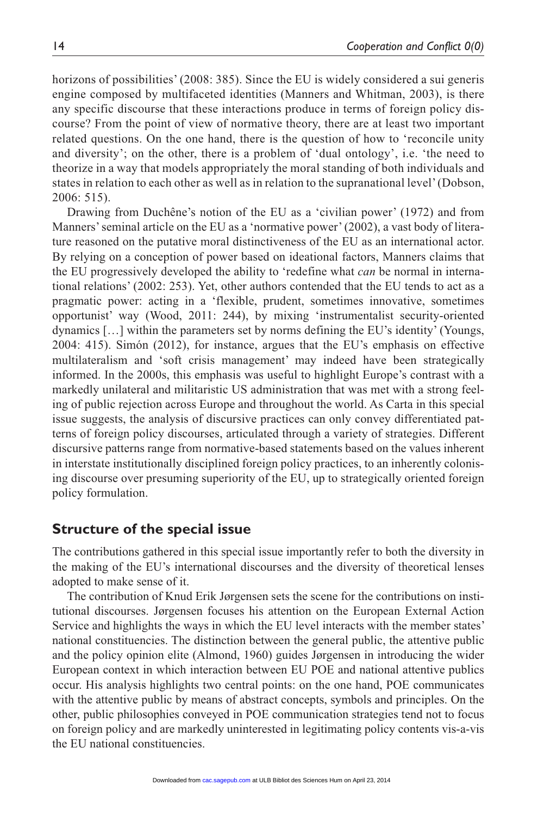horizons of possibilities' (2008: 385). Since the EU is widely considered a sui generis engine composed by multifaceted identities (Manners and Whitman, 2003), is there any specific discourse that these interactions produce in terms of foreign policy discourse? From the point of view of normative theory, there are at least two important related questions. On the one hand, there is the question of how to 'reconcile unity and diversity'; on the other, there is a problem of 'dual ontology', i.e. 'the need to theorize in a way that models appropriately the moral standing of both individuals and states in relation to each other as well as in relation to the supranational level' (Dobson, 2006: 515).

Drawing from Duchêne's notion of the EU as a 'civilian power' (1972) and from Manners' seminal article on the EU as a 'normative power' (2002), a vast body of literature reasoned on the putative moral distinctiveness of the EU as an international actor. By relying on a conception of power based on ideational factors, Manners claims that the EU progressively developed the ability to 'redefine what *can* be normal in international relations' (2002: 253). Yet, other authors contended that the EU tends to act as a pragmatic power: acting in a 'flexible, prudent, sometimes innovative, sometimes opportunist' way (Wood, 2011: 244), by mixing 'instrumentalist security-oriented dynamics […] within the parameters set by norms defining the EU's identity' (Youngs, 2004: 415). Simón (2012), for instance, argues that the EU's emphasis on effective multilateralism and 'soft crisis management' may indeed have been strategically informed. In the 2000s, this emphasis was useful to highlight Europe's contrast with a markedly unilateral and militaristic US administration that was met with a strong feeling of public rejection across Europe and throughout the world. As Carta in this special issue suggests, the analysis of discursive practices can only convey differentiated patterns of foreign policy discourses, articulated through a variety of strategies. Different discursive patterns range from normative-based statements based on the values inherent in interstate institutionally disciplined foreign policy practices, to an inherently colonising discourse over presuming superiority of the EU, up to strategically oriented foreign policy formulation.

### **Structure of the special issue**

The contributions gathered in this special issue importantly refer to both the diversity in the making of the EU's international discourses and the diversity of theoretical lenses adopted to make sense of it.

The contribution of Knud Erik Jørgensen sets the scene for the contributions on institutional discourses. Jørgensen focuses his attention on the European External Action Service and highlights the ways in which the EU level interacts with the member states' national constituencies. The distinction between the general public, the attentive public and the policy opinion elite (Almond, 1960) guides Jørgensen in introducing the wider European context in which interaction between EU POE and national attentive publics occur. His analysis highlights two central points: on the one hand, POE communicates with the attentive public by means of abstract concepts, symbols and principles. On the other, public philosophies conveyed in POE communication strategies tend not to focus on foreign policy and are markedly uninterested in legitimating policy contents vis-a-vis the EU national constituencies.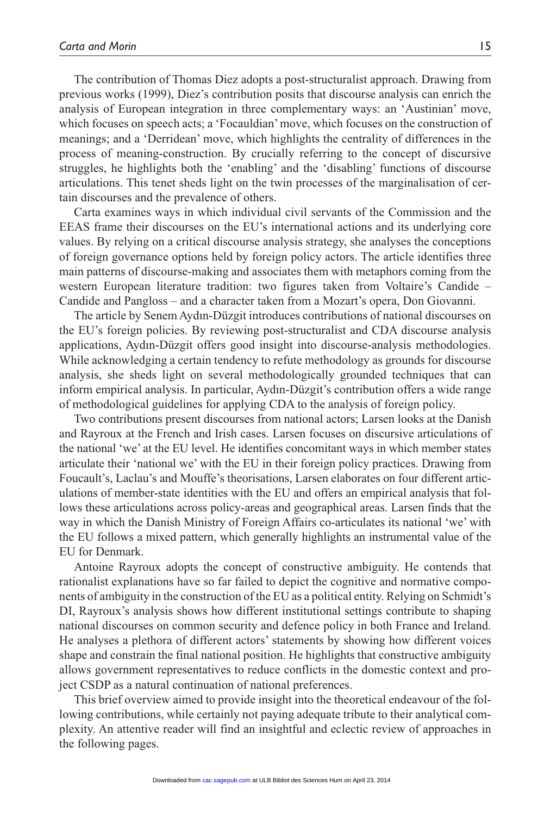The contribution of Thomas Diez adopts a post-structuralist approach. Drawing from previous works (1999), Diez's contribution posits that discourse analysis can enrich the analysis of European integration in three complementary ways: an 'Austinian' move, which focuses on speech acts; a 'Focauldian' move, which focuses on the construction of meanings; and a 'Derridean' move, which highlights the centrality of differences in the process of meaning-construction. By crucially referring to the concept of discursive struggles, he highlights both the 'enabling' and the 'disabling' functions of discourse articulations. This tenet sheds light on the twin processes of the marginalisation of certain discourses and the prevalence of others.

Carta examines ways in which individual civil servants of the Commission and the EEAS frame their discourses on the EU's international actions and its underlying core values. By relying on a critical discourse analysis strategy, she analyses the conceptions of foreign governance options held by foreign policy actors. The article identifies three main patterns of discourse-making and associates them with metaphors coming from the western European literature tradition: two figures taken from Voltaire's Candide – Candide and Pangloss – and a character taken from a Mozart's opera, Don Giovanni.

The article by Senem Aydın-Düzgit introduces contributions of national discourses on the EU's foreign policies. By reviewing post-structuralist and CDA discourse analysis applications, Aydın-Düzgit offers good insight into discourse-analysis methodologies. While acknowledging a certain tendency to refute methodology as grounds for discourse analysis, she sheds light on several methodologically grounded techniques that can inform empirical analysis. In particular, Aydın-Düzgit's contribution offers a wide range of methodological guidelines for applying CDA to the analysis of foreign policy.

Two contributions present discourses from national actors; Larsen looks at the Danish and Rayroux at the French and Irish cases. Larsen focuses on discursive articulations of the national 'we' at the EU level. He identifies concomitant ways in which member states articulate their 'national we' with the EU in their foreign policy practices. Drawing from Foucault's, Laclau's and Mouffe's theorisations, Larsen elaborates on four different articulations of member-state identities with the EU and offers an empirical analysis that follows these articulations across policy-areas and geographical areas. Larsen finds that the way in which the Danish Ministry of Foreign Affairs co-articulates its national 'we' with the EU follows a mixed pattern, which generally highlights an instrumental value of the EU for Denmark.

Antoine Rayroux adopts the concept of constructive ambiguity. He contends that rationalist explanations have so far failed to depict the cognitive and normative components of ambiguity in the construction of the EU as a political entity. Relying on Schmidt's DI, Rayroux's analysis shows how different institutional settings contribute to shaping national discourses on common security and defence policy in both France and Ireland. He analyses a plethora of different actors' statements by showing how different voices shape and constrain the final national position. He highlights that constructive ambiguity allows government representatives to reduce conflicts in the domestic context and project CSDP as a natural continuation of national preferences.

This brief overview aimed to provide insight into the theoretical endeavour of the following contributions, while certainly not paying adequate tribute to their analytical complexity. An attentive reader will find an insightful and eclectic review of approaches in the following pages.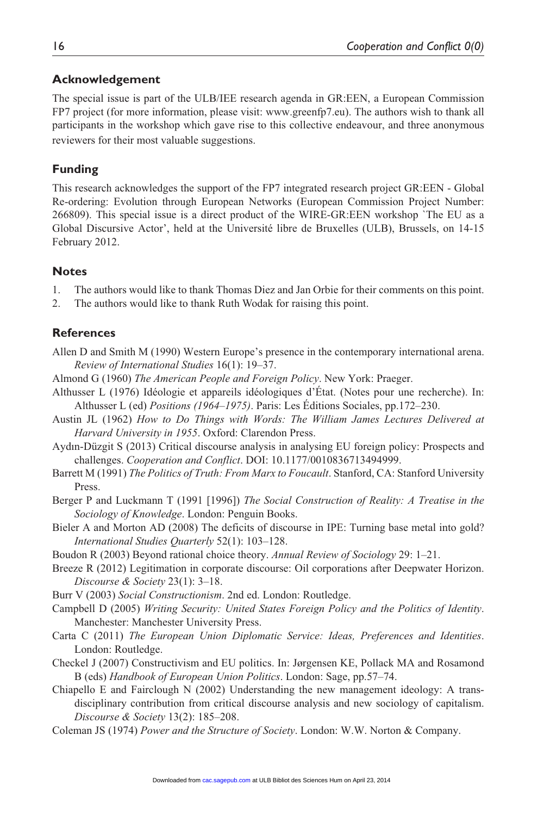### **Acknowledgement**

The special issue is part of the ULB/IEE research agenda in GR:EEN, a European Commission FP7 project (for more information, please visit: www.greenfp7.eu). The authors wish to thank all participants in the workshop which gave rise to this collective endeavour, and three anonymous reviewers for their most valuable suggestions.

### **Funding**

This research acknowledges the support of the FP7 integrated research project GR:EEN - Global Re-ordering: Evolution through European Networks (European Commission Project Number: 266809). This special issue is a direct product of the WIRE-GR:EEN workshop `The EU as a Global Discursive Actor', held at the Université libre de Bruxelles (ULB), Brussels, on 14-15 February 2012.

#### **Notes**

- 1. The authors would like to thank Thomas Diez and Jan Orbie for their comments on this point.
- 2. The authors would like to thank Ruth Wodak for raising this point.

### **References**

- Allen D and Smith M (1990) Western Europe's presence in the contemporary international arena. *Review of International Studies* 16(1): 19–37.
- Almond G (1960) *The American People and Foreign Policy*. New York: Praeger.
- Althusser L (1976) Idéologie et appareils idéologiques d'État. (Notes pour une recherche). In: Althusser L (ed) *Positions (1964–1975)*. Paris: Les Éditions Sociales, pp.172–230.
- Austin JL (1962) *How to Do Things with Words: The William James Lectures Delivered at Harvard University in 1955*. Oxford: Clarendon Press.
- Aydın-Düzgit S (2013) Critical discourse analysis in analysing EU foreign policy: Prospects and challenges. *Cooperation and Conflict*. DOI: 10.1177/0010836713494999.
- Barrett M (1991) *The Politics of Truth: From Marx to Foucault*. Stanford, CA: Stanford University Press.
- Berger P and Luckmann T (1991 [1996]) *The Social Construction of Reality: A Treatise in the Sociology of Knowledge*. London: Penguin Books.
- Bieler A and Morton AD (2008) The deficits of discourse in IPE: Turning base metal into gold? *International Studies Quarterly* 52(1): 103–128.
- Boudon R (2003) Beyond rational choice theory. *Annual Review of Sociology* 29: 1–21.
- Breeze R (2012) Legitimation in corporate discourse: Oil corporations after Deepwater Horizon. *Discourse & Society* 23(1): 3–18.
- Burr V (2003) *Social Constructionism*. 2nd ed. London: Routledge.
- Campbell D (2005) *Writing Security: United States Foreign Policy and the Politics of Identity*. Manchester: Manchester University Press.
- Carta C (2011) *The European Union Diplomatic Service: Ideas, Preferences and Identities*. London: Routledge.
- Checkel J (2007) Constructivism and EU politics. In: Jørgensen KE, Pollack MA and Rosamond B (eds) *Handbook of European Union Politics*. London: Sage, pp.57–74.
- Chiapello E and Fairclough N (2002) Understanding the new management ideology: A transdisciplinary contribution from critical discourse analysis and new sociology of capitalism. *Discourse & Society* 13(2): 185–208.
- Coleman JS (1974) *Power and the Structure of Society*. London: W.W. Norton & Company.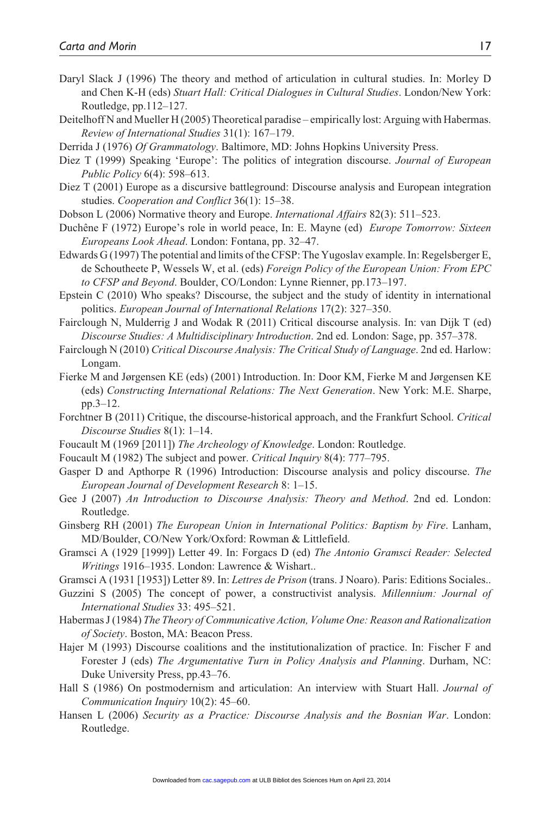- Daryl Slack J (1996) The theory and method of articulation in cultural studies. In: Morley D and Chen K-H (eds) *Stuart Hall: Critical Dialogues in Cultural Studies*. London/New York: Routledge, pp.112–127.
- Deitelhoff N and Mueller H (2005) Theoretical paradise empirically lost: Arguing with Habermas. *Review of International Studies* 31(1): 167–179.

Derrida J (1976) *Of Grammatology*. Baltimore, MD: Johns Hopkins University Press.

- Diez T (1999) Speaking 'Europe': The politics of integration discourse. *Journal of European Public Policy* 6(4): 598–613.
- Diez T (2001) Europe as a discursive battleground: Discourse analysis and European integration studies. *Cooperation and Conflict* 36(1): 15–38.
- Dobson L (2006) Normative theory and Europe. *International Affairs* 82(3): 511–523.
- Duchêne F (1972) Europe's role in world peace, In: E. Mayne (ed) *Europe Tomorrow: Sixteen Europeans Look Ahead*. London: Fontana, pp. 32–47.
- Edwards G (1997) The potential and limits of the CFSP: The Yugoslav example. In: Regelsberger E, de Schoutheete P, Wessels W, et al. (eds) *Foreign Policy of the European Union: From EPC to CFSP and Beyond*. Boulder, CO/London: Lynne Rienner, pp.173–197.
- Epstein C (2010) Who speaks? Discourse, the subject and the study of identity in international politics. *European Journal of International Relations* 17(2): 327–350.
- Fairclough N, Mulderrig J and Wodak R (2011) Critical discourse analysis. In: van Dijk T (ed) *Discourse Studies: A Multidisciplinary Introduction*. 2nd ed. London: Sage, pp. 357–378.
- Fairclough N (2010) *Critical Discourse Analysis: The Critical Study of Language*. 2nd ed. Harlow: Longam.
- Fierke M and Jørgensen KE (eds) (2001) Introduction. In: Door KM, Fierke M and Jørgensen KE (eds) *Constructing International Relations: The Next Generation*. New York: M.E. Sharpe, pp.3–12.
- Forchtner B (2011) Critique, the discourse-historical approach, and the Frankfurt School. *Critical Discourse Studies* 8(1): 1–14.
- Foucault M (1969 [2011]) *The Archeology of Knowledge*. London: Routledge.
- Foucault M (1982) The subject and power. *Critical Inquiry* 8(4): 777–795.
- Gasper D and Apthorpe R (1996) Introduction: Discourse analysis and policy discourse. *The European Journal of Development Research* 8: 1–15.
- Gee J (2007) *An Introduction to Discourse Analysis: Theory and Method*. 2nd ed. London: Routledge.
- Ginsberg RH (2001) *The European Union in International Politics: Baptism by Fire*. Lanham, MD/Boulder, CO/New York/Oxford: Rowman & Littlefield.
- Gramsci A (1929 [1999]) Letter 49. In: Forgacs D (ed) *The Antonio Gramsci Reader: Selected Writings* 1916–1935. London: Lawrence & Wishart..
- Gramsci A (1931 [1953]) Letter 89. In: *Lettres de Prison* (trans. J Noaro). Paris: Editions Sociales..
- Guzzini S (2005) The concept of power, a constructivist analysis. *Millennium: Journal of International Studies* 33: 495–521.
- Habermas J (1984) *The Theory of Communicative Action, Volume One: Reason and Rationalization of Society*. Boston, MA: Beacon Press.
- Hajer M (1993) Discourse coalitions and the institutionalization of practice. In: Fischer F and Forester J (eds) *The Argumentative Turn in Policy Analysis and Planning*. Durham, NC: Duke University Press, pp.43–76.
- Hall S (1986) On postmodernism and articulation: An interview with Stuart Hall. *Journal of Communication Inquiry* 10(2): 45–60.
- Hansen L (2006) *Security as a Practice: Discourse Analysis and the Bosnian War*. London: Routledge.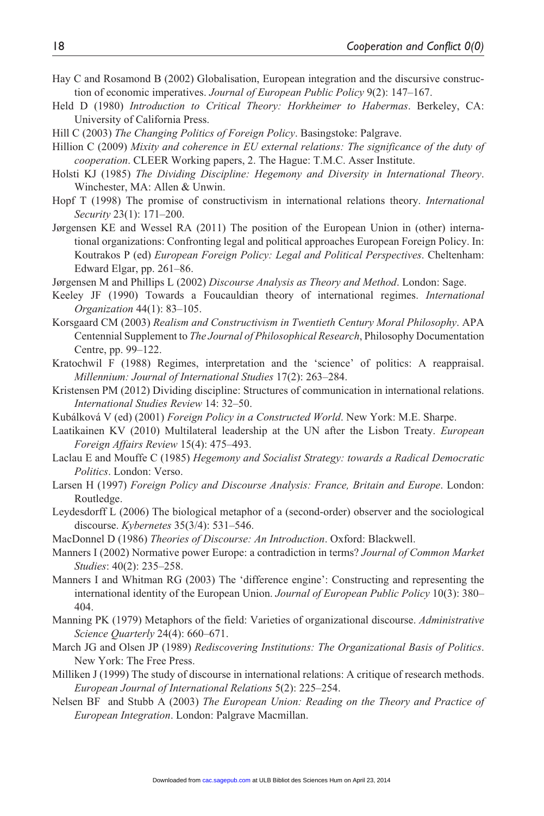- Hay C and Rosamond B (2002) Globalisation, European integration and the discursive construction of economic imperatives. *Journal of European Public Policy* 9(2): 147–167.
- Held D (1980) *Introduction to Critical Theory: Horkheimer to Habermas*. Berkeley, CA: University of California Press.
- Hill C (2003) *The Changing Politics of Foreign Policy*. Basingstoke: Palgrave.
- Hillion C (2009) *Mixity and coherence in EU external relations: The significance of the duty of cooperation*. CLEER Working papers, 2. The Hague: T.M.C. Asser Institute.
- Holsti KJ (1985) *The Dividing Discipline: Hegemony and Diversity in International Theory*. Winchester, MA: Allen & Unwin.
- Hopf T (1998) The promise of constructivism in international relations theory. *International Security* 23(1): 171–200.
- Jørgensen KE and Wessel RA (2011) The position of the European Union in (other) international organizations: Confronting legal and political approaches European Foreign Policy. In: Koutrakos P (ed) *European Foreign Policy: Legal and Political Perspectives*. Cheltenham: Edward Elgar, pp. 261–86.
- Jørgensen M and Phillips L (2002) *Discourse Analysis as Theory and Method*. London: Sage.
- Keeley JF (1990) Towards a Foucauldian theory of international regimes. *International Organization* 44(1): 83–105.
- Korsgaard CM (2003) *Realism and Constructivism in Twentieth Century Moral Philosophy*. APA Centennial Supplement to *The Journal of Philosophical Research*, Philosophy Documentation Centre, pp. 99–122.
- Kratochwil F (1988) Regimes, interpretation and the 'science' of politics: A reappraisal. *Millennium: Journal of International Studies* 17(2): 263–284.
- Kristensen PM (2012) Dividing discipline: Structures of communication in international relations. *International Studies Review* 14: 32–50.
- Kubálková V (ed) (2001) *Foreign Policy in a Constructed World*. New York: M.E. Sharpe.
- Laatikainen KV (2010) Multilateral leadership at the UN after the Lisbon Treaty. *European Foreign Affairs Review* 15(4): 475–493.
- Laclau E and Mouffe C (1985) *Hegemony and Socialist Strategy: towards a Radical Democratic Politics*. London: Verso.
- Larsen H (1997) *Foreign Policy and Discourse Analysis: France, Britain and Europe*. London: Routledge.
- Leydesdorff L (2006) The biological metaphor of a (second-order) observer and the sociological discourse. *Kybernetes* 35(3/4): 531–546.
- MacDonnel D (1986) *Theories of Discourse: An Introduction*. Oxford: Blackwell.
- Manners I (2002) Normative power Europe: a contradiction in terms? *Journal of Common Market Studies*: 40(2): 235–258.
- Manners I and Whitman RG (2003) The 'difference engine': Constructing and representing the international identity of the European Union. *Journal of European Public Policy* 10(3): 380– 404.
- Manning PK (1979) Metaphors of the field: Varieties of organizational discourse. *Administrative Science Quarterly* 24(4): 660–671.
- March JG and Olsen JP (1989) *Rediscovering Institutions: The Organizational Basis of Politics*. New York: The Free Press.
- Milliken J (1999) The study of discourse in international relations: A critique of research methods. *European Journal of International Relations* 5(2): 225–254.
- Nelsen BF and Stubb A (2003) *The European Union: Reading on the Theory and Practice of European Integration*. London: Palgrave Macmillan.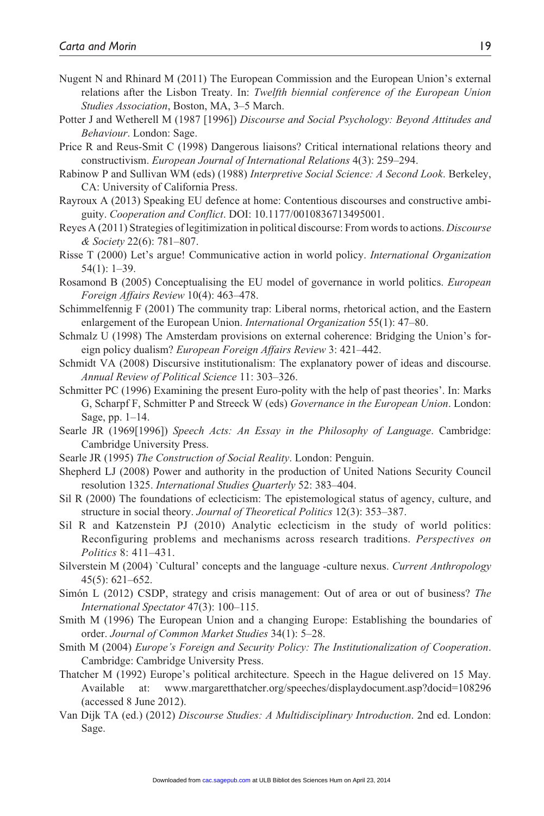- Nugent N and Rhinard M (2011) The European Commission and the European Union's external relations after the Lisbon Treaty. In: *Twelfth biennial conference of the European Union Studies Association*, Boston, MA, 3–5 March.
- Potter J and Wetherell M (1987 [1996]) *Discourse and Social Psychology: Beyond Attitudes and Behaviour*. London: Sage.
- Price R and Reus-Smit C (1998) Dangerous liaisons? Critical international relations theory and constructivism. *European Journal of International Relations* 4(3): 259–294.
- Rabinow P and Sullivan WM (eds) (1988) *Interpretive Social Science: A Second Look*. Berkeley, CA: University of California Press.
- Rayroux A (2013) Speaking EU defence at home: Contentious discourses and constructive ambiguity. *Cooperation and Conflict*. DOI: 10.1177/0010836713495001.
- Reyes A (2011) Strategies of legitimization in political discourse: From words to actions. *Discourse & Society* 22(6): 781–807.
- Risse T (2000) Let's argue! Communicative action in world policy. *International Organization* 54(1): 1–39.
- Rosamond B (2005) Conceptualising the EU model of governance in world politics. *European Foreign Affairs Review* 10(4): 463–478.
- Schimmelfennig F (2001) The community trap: Liberal norms, rhetorical action, and the Eastern enlargement of the European Union. *International Organization* 55(1): 47–80.
- Schmalz U (1998) The Amsterdam provisions on external coherence: Bridging the Union's foreign policy dualism? *European Foreign Affairs Review* 3: 421–442.
- Schmidt VA (2008) Discursive institutionalism: The explanatory power of ideas and discourse. *Annual Review of Political Science* 11: 303–326.
- Schmitter PC (1996) Examining the present Euro-polity with the help of past theories'. In: Marks G, Scharpf F, Schmitter P and Streeck W (eds) *Governance in the European Union*. London: Sage, pp. 1–14.
- Searle JR (1969[1996]) *Speech Acts: An Essay in the Philosophy of Language*. Cambridge: Cambridge University Press.
- Searle JR (1995) *The Construction of Social Reality*. London: Penguin.
- Shepherd LJ (2008) Power and authority in the production of United Nations Security Council resolution 1325. *International Studies Quarterly* 52: 383–404.
- Sil R (2000) The foundations of eclecticism: The epistemological status of agency, culture, and structure in social theory. *Journal of Theoretical Politics* 12(3): 353–387.
- Sil R and Katzenstein PJ (2010) Analytic eclecticism in the study of world politics: Reconfiguring problems and mechanisms across research traditions. *Perspectives on Politics* 8: 411–431.
- Silverstein M (2004) `Cultural' concepts and the language -culture nexus. *Current Anthropology* 45(5): 621–652.
- Simón L (2012) CSDP, strategy and crisis management: Out of area or out of business? *The International Spectator* 47(3): 100–115.
- Smith M (1996) The European Union and a changing Europe: Establishing the boundaries of order. *Journal of Common Market Studies* 34(1): 5–28.
- Smith M (2004) *Europe's Foreign and Security Policy: The Institutionalization of Cooperation*. Cambridge: Cambridge University Press.
- Thatcher M (1992) Europe's political architecture. Speech in the Hague delivered on 15 May. Available at: www.margaretthatcher.org/speeches/displaydocument.asp?docid=108296 (accessed 8 June 2012).
- Van Dijk TA (ed.) (2012) *Discourse Studies: A Multidisciplinary Introduction*. 2nd ed. London: Sage.